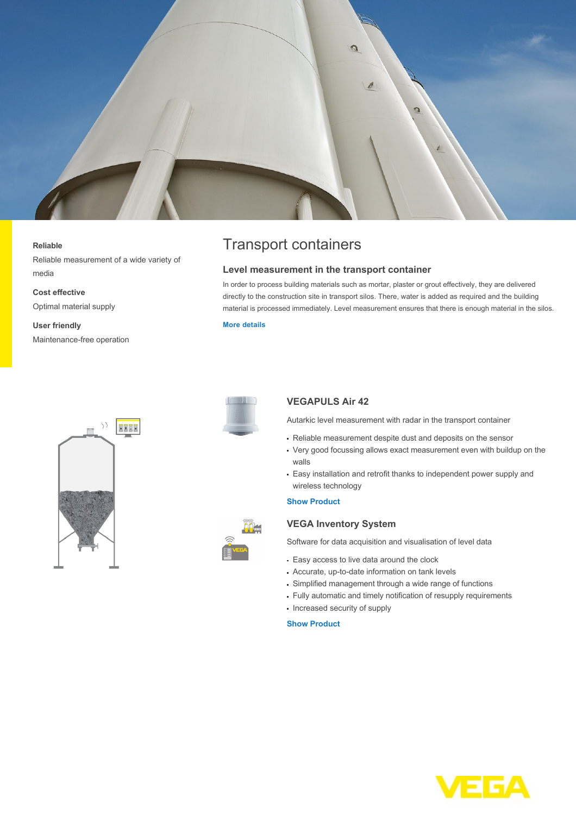

#### **Reliable**

Reliable measurement of a wide variety of media

**Cost effective** Optimal material supply

**User friendly** Maintenance-free operation





# Transport containers

#### **Level measurement in the transport container**

In order to process building materials such as mortar, plaster or grout effectively, they are delivered directly to the construction site in transport silos. There, water is added as required and the building material is processed immediately. Level measurement ensures that there is enough material in the silos.

### **[More details](http://localhost/en-us/industries/building-materials/mobile-silos)**



## **VEGAPULS Air 42**

Autarkic level measurement with radar in the transport container

- Reliable measurement despite dust and deposits on the sensor
- Very good focussing allows exact measurement even with buildup on the walls
- Easy installation and retrofit thanks to independent power supply and wireless technology

#### **[Show Product](http://localhost/en-us/products/product-catalog/level/radar/vegapuls-air-42)**

## **VEGA Inventory System**

Software for data acquisition and visualisation of level data

- Easy access to live data around the clock
- Accurate, up-to-date information on tank levels
- Simplified management through a wide range of functions
- Fully automatic and timely notification of resupply requirements
- Increased security of supply

#### **[Show Product](http://localhost/en-us/products/product-catalog/signal-conditioning/software/vega-inventory-system---vega-hosting)**